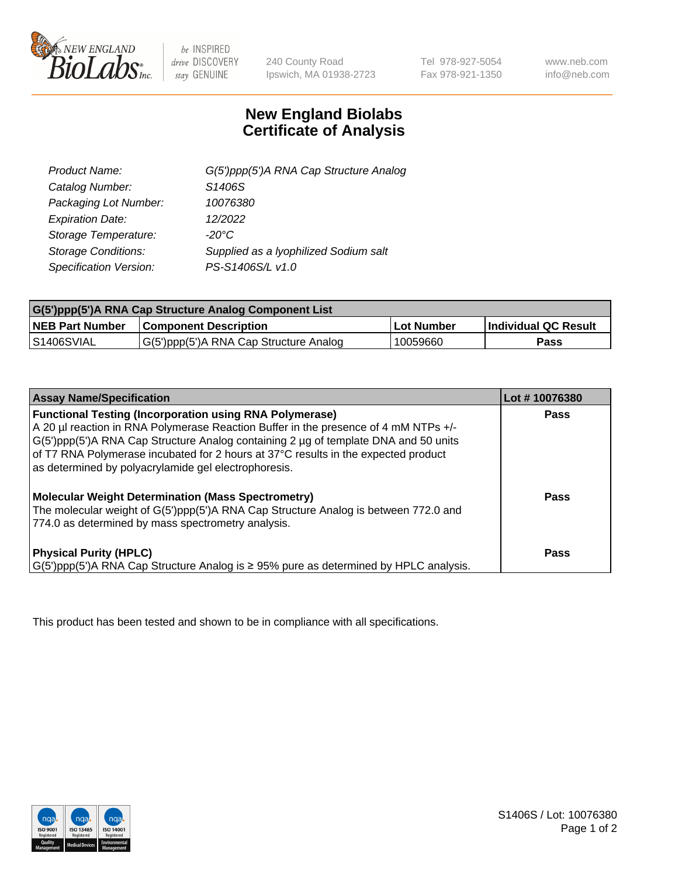

 $be$  INSPIRED drive DISCOVERY stay GENUINE

240 County Road Ipswich, MA 01938-2723 Tel 978-927-5054 Fax 978-921-1350 www.neb.com info@neb.com

## **New England Biolabs Certificate of Analysis**

| G(5')ppp(5')A RNA Cap Structure Analog |
|----------------------------------------|
| S <sub>1406</sub> S                    |
| 10076380                               |
| 12/2022                                |
| $-20^{\circ}$ C                        |
| Supplied as a Iyophilized Sodium salt  |
| PS-S1406S/L v1.0                       |
|                                        |

| G(5')ppp(5')A RNA Cap Structure Analog Component List |                                        |            |                             |  |
|-------------------------------------------------------|----------------------------------------|------------|-----------------------------|--|
| <b>NEB Part Number</b>                                | <b>Component Description</b>           | Lot Number | <b>Individual QC Result</b> |  |
| IS1406SVIAL                                           | G(5')ppp(5')A RNA Cap Structure Analog | 10059660   | Pass                        |  |

| <b>Assay Name/Specification</b>                                                                                                                                                                                                                                                                                                                                                            | Lot #10076380 |
|--------------------------------------------------------------------------------------------------------------------------------------------------------------------------------------------------------------------------------------------------------------------------------------------------------------------------------------------------------------------------------------------|---------------|
| <b>Functional Testing (Incorporation using RNA Polymerase)</b><br>A 20 µl reaction in RNA Polymerase Reaction Buffer in the presence of 4 mM NTPs +/-<br>G(5')ppp(5')A RNA Cap Structure Analog containing 2 µg of template DNA and 50 units<br>of T7 RNA Polymerase incubated for 2 hours at 37°C results in the expected product<br>as determined by polyacrylamide gel electrophoresis. | Pass          |
| <b>Molecular Weight Determination (Mass Spectrometry)</b><br>The molecular weight of G(5')ppp(5')A RNA Cap Structure Analog is between 772.0 and<br>774.0 as determined by mass spectrometry analysis.                                                                                                                                                                                     | Pass          |
| <b>Physical Purity (HPLC)</b><br>$G(5')$ ppp(5')A RNA Cap Structure Analog is $\geq$ 95% pure as determined by HPLC analysis.                                                                                                                                                                                                                                                              | <b>Pass</b>   |

This product has been tested and shown to be in compliance with all specifications.